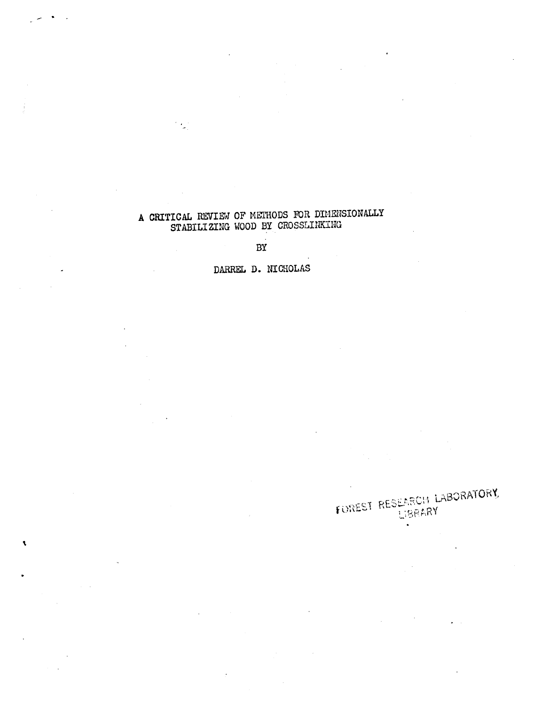## <sup>A</sup> CRITICAL REVIEW OF METHODS FOR DIMENSIONALLY STABILIZING WOOD BY CROSSLINKING

 $\frac{1}{2}$ 

 $\overline{\mathbf{t}}$ 

 $\overline{a}$ BY

DARREL D. NICHOLAS

# FUREST RESEARCH LABORATORY  $\bullet$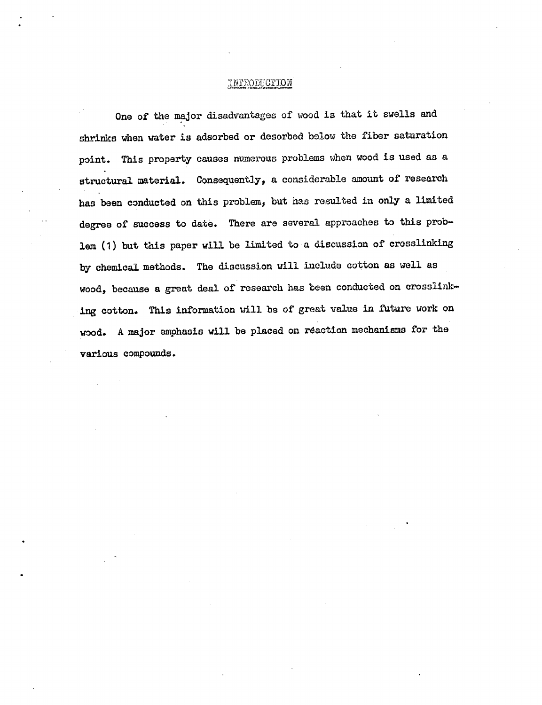## **TNTRODUCTION**

One of the major disadvantages of wood is that it swells and shrinks when water is adsorbed or desorbed below the fiber saturation point. This property causes numerous problems when wood is used as a structural material. Consequently, a considerable amount of research has been conducted on this problem, but has resulted in only a limited degree of success to date. There are several approaches to this problem (1) but this paper will be limited to a discussion of crosslinking by chemical methods. The discussion will include cotton as well as wood, because a great deal of research has been conducted on crosslinking cotton. This information will be of great value in future work on wood. A major emphasis will be placed on reaction mechanisms for the various compounds.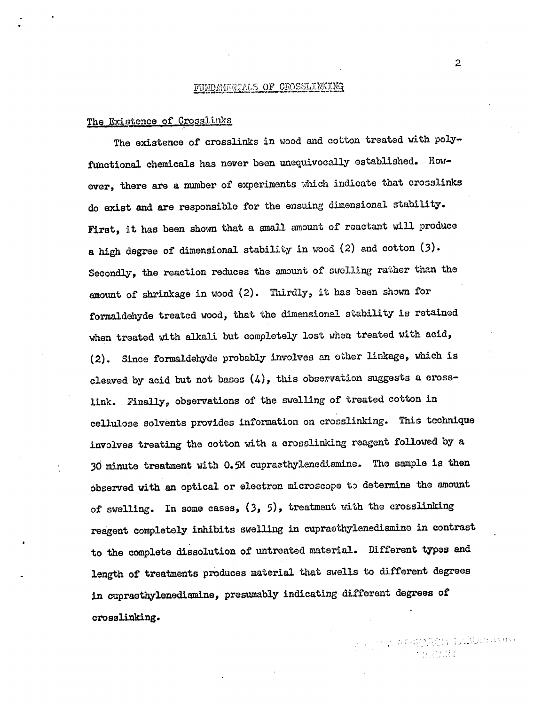## FUNDAMENTALS OF CROSSLINKING

## The Existence of Crosslinks

The existence of crosslinks in wood and cotton treated with polyfunctional chemicals has never been unequivocally established. However, there are a number of experiments which indicate that crosslinks do exist and are responsible for the ensuing dimensional stability. First, it has been shown that a small amount of reactant will produce a high degree of dimensional stability in wood (2) and cotton (3). Secondly, the reaction reduces the amount of swelling rather than the amount of shrinkage in wood (2). Thirdly, it has been shown for formaldehyde treated wood, that the dimensional stability is retained when treated with alkali but completely lost when treated with acid, (2). Since formaldehyde probably involves an ether linkage, which is cleaved by acid but not bases  $(4)$ , this observation suggests a crosslink. Finally, observations of the swelling of treated cotton in cellulose solvents provides information on crosslinking. This technique involves treating the cotton with a crosslinking reagent followed by a 30 minute treatment with 0.5M cupreethylenediamine. The sample is then observed with an optical or electron microscope to determine the amount of swelling. In some cases, (3, 5), treatment with the crosslinking reagent completely inhibits swelling in cupraethylenediamine in contrast to the complete dissolution of untreated material. Different types and length of treatments produces material that swells to different degrees in cupraethylenediamine, presumably indicating different degrees of crosslinking.

2

PETTY RESEARCH LEODERS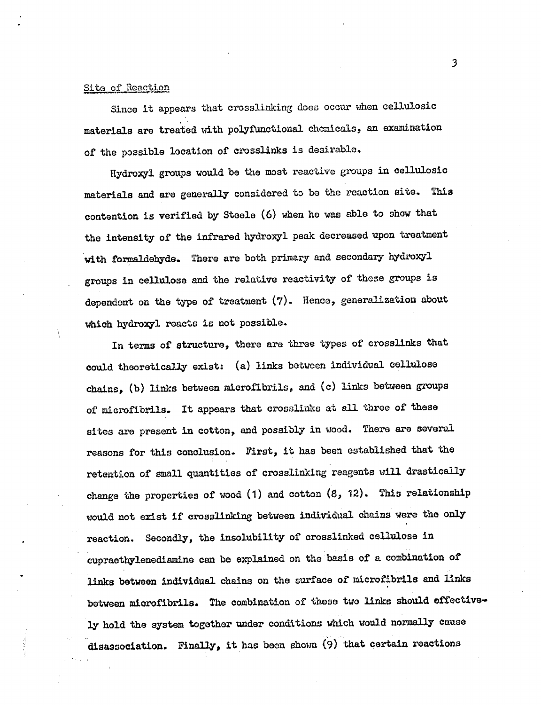## Site of Reaction

Since it appears that crosslinking does occur when cellulosic materials are treated with polyfunctional chemicals, an examination of the possible location of crosslinks is desirable.

Hydroxyl groups would be the most reactive groups in cellulosic materials and are generally considered to be the reaction site. This contention is verified by Steele (6) when he was able to show that the intensity of the infrared hydroxyl peak decreased upon treatment with formaldehyde. There are both primary and secondary hydroxyl groups in cellulose and the relative reactivity of these groups is dependent on the type of treatment (7). Hence, generalization about which hydroxyl reacts is not possible.

In terms of structure, there are three types of crosslinks that could theoretically exist: (a) links between individual cellulose chains, (b) links between microfibrils, and (c) links between groups of microfibrils. It appears that crosslinks at all three of these sites are present in cotton, and possibly in wood. There are several reasons for this conclusion. First, it has been established that the retention of small quantities of crosslinking reagents will drastically change the properties of wood (1) and cotton (8, 12). This relationship would not exist if crosslinking between individual chains were the only reaction. Secondly, the insolubility of crosslinked cellulose in cupraethylenediamine can be explained on the basis of a combination of links between individual chains on the surface of microfibrils and links between microfibrils. The combination of these two links should effective ly hold the system together under conditions which would normally cause disassociation. Finally, it has been shown (9) that certain reactions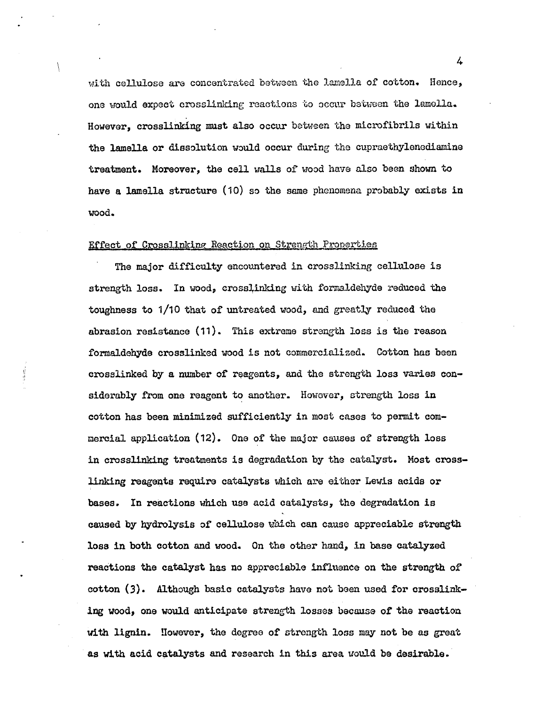with cellulose are concentrated between the lamella of cotton. Hence, one would expect crosslinking reactions to occur between the lamella. However, crosslinking must also occur between the microfibrils within the lamella or dissolution would occur during the cupraethylenediamine treatment. Moreover, the cell walls of wood have also been shown to have a lamella structure (10) so the same phenomena probably exists in wood.

## Effect of Crosslinking Reaction on Strength Properties

The major difficulty encountered in crosslinking cellulose is strength loss. In wood, crosslinking with formaldehyde reduced the toughness to 1/10 that of untreated wood, and greatly reduced the abrasion resistance (11). This extreme strength loss is the reason formaldehyde crosslinked wood is not commercialized. Cotton has been crosslinked by a number of reagents, and the strength loss varies considerably from one reagent to another. However, strength loss in cotton has been minimized sufficiently in most cases to permit commercial application (12). One of the major causes of strength loss in crosslinking treatments is degradation by the catalyst. Most crosslinking reagents require catalysts which are either Lewis acids or bases. In reactions which use acid catalysts, the degradation is caused by hydrolysis of cellulose which can cause appreciable strength loss in both cotton and wood. On the other hand, in base catalyzed reactions the catalyst has no appreciable influence on the strength of cotton (3). Although basic catalysts have not been used for crosslinking wood, one would anticipate strength losses because of the reaction with lignin. However, the degree of strength loss may not be as great as with acid catalysts and research in this area would be desirable.

 $4 \frac{1}{2}$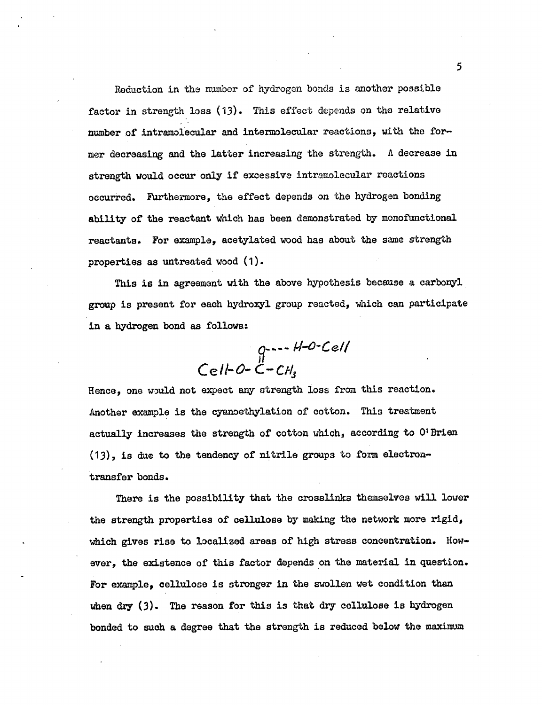Reduction in the number of hydrogen bonds is another possible factor in strength loss (13). This effect depends on the relative number of intramolecular and intermolecular reactions, with the former decreasing and the latter increasing the strength. A decrease in strength would occur only if excessive intramolecular reactions occurred. Furthermore, the effect depends on the hydrogen bonding ability of the reactant which has been demonstrated by monoftnctional reactants. For example, acetylated wood has about the same strength properties as untreated wood (1).

This is in agreement with the above hypothesis because a carbonyl group is present for each hydroxyl group reacted, which can participate in a hydrogen bond as follows:

$$
q_{1} + 4 - 1 = 0
$$
  
Cell-O-C-CH<sub>s</sub>

Hence, one would not expect any strength loss from this reaction. Another example is the cyanoethylation of cotton. This treatment actually increases the strength of cotton which, according to O'Brien (13), is due to the tendency of nitrile groups to form electrontransfer bonds.

There is the possibility that the crosslinks themselves will lower the strength properties of cellulose by making the network more rigid, which gives rise to localized areas of high stress concentration. However, the existence of this factor depends on the material in question. For example, cellulose is stronger in the swollen wet condition than when dry (3). The reason for this is that dry cellulose is hydrogen bonded to such a degree that the strength is reduced below the maximum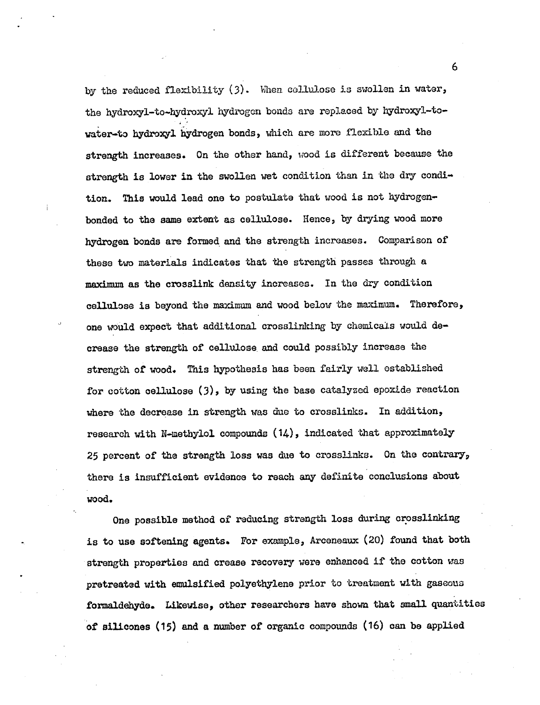by the reduced flexibility (3). When cellulose is swollen in water, the hydroxyl-to-hydroxyl hydrogen bonds are replaced by hydroxyl-towater-to hydroxyl hydrogen bonds, which are more flexible and the strength increases. On the other hand, wood is different because the strength is lower in the swollen wet condition than in the dry condition. This would lead one to postulate that wood is not hydrogenbonded to the same extent as cellulose. Hence, by drying wood more hydrogen bonds are formed and the strength increases. Comparison of these two materials indicates that the strength passes through a maximum as the crosslink density increases. In the dry condition cellulose is beyond the maximum and wood below the maximum. Therefore, one would expect that additional crosslinking by chemicals would decrease the strength of cellulose and could possibly increase the strength of wood. This hypothesis has been fairly well ostablished for cotton cellulose (3), by using the base catalyzed epoxide reaction where the decrease in strength was due to crosslinks. In addition, research with N-methylol compounds (14), indicated that approximately 25 percent of the strength loss was due to crosslinks. On the contrary, there is insufficient evidence to reach any definite conclusions about wood.

One possible method of reducing strength loss during crosslinking is to use softening agents. For example, Arceneaux (20) found that both strength properties and crease recovery were enhanced if the cotton was pretreated with emulsified polyethylene prior to treatment with gaseous formaldehyde. Likewise, other researchers have shown that small quantities of silicones (15) and a number of organic compounds (16) can be applied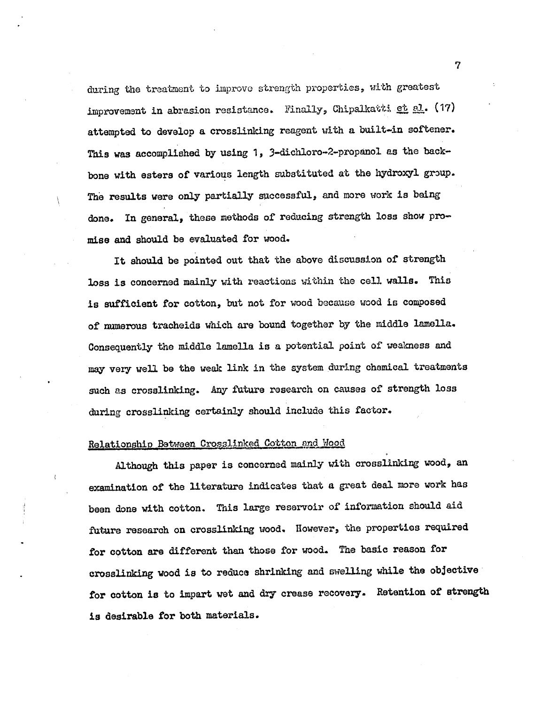during the treatment to improvo strength properties, with greatest improvement in abrasion resistance. Finally, Chipalkatti et al. (17) attempted to develop a crosslinking reagent with a built-in softener. This was accomplished by using 1, 3-dichloro-2-propanol as the backbone with esters of various length substituted at the hydroxyl group. The results were only partially successful, and more work is being done. In general, these methods of reducing strength loss show promise and should be evaluated for wood.

It should be pointed out that the above discussion of strength loss is concerned mainly with reactions within the cell walls. This is sufficient for cotton, but not for wood because wood is composed of numerous tracheids which are bound together by the middle lamella. Consequently the middle lamella is a potential point of weakness and may very well be the weak link in the system during chemical treatments such as crosslinking. Any future research on causes of strength loss during crosslinking certainly should include this factor.

## Relationship Between Crosslinked Cotton and Wood

Although this paper is concerned mainly with crosslinking wood, an examination of the literature indicates that a great deal more work has been done with cotton. This large reservoir of information should aid future research on crosslinking wood. However, the properties required for cotton are different than those for wood. The basic reason for crosslinking wood is to reduce shrinking and swelling while the objective for cotton is to impart wet and dry crease recovery. Retention of strength is desirable for both materials.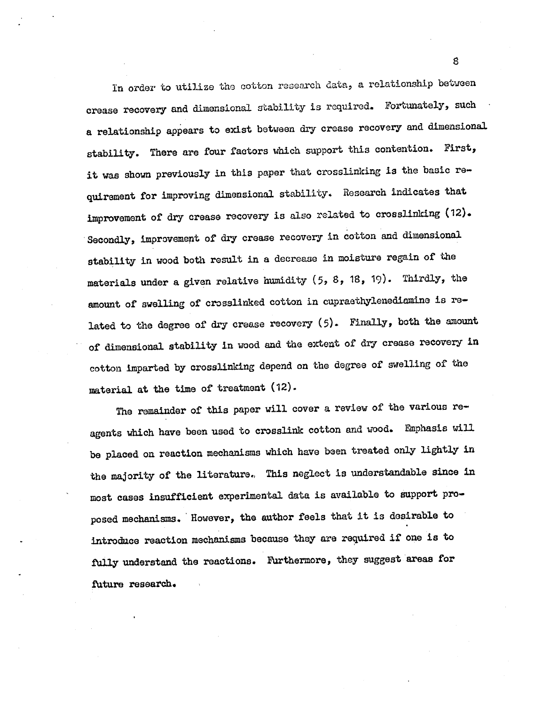In order to utilize the cotton research data, a relationship between crease recovery and dimensional stability is required. Fortunately, such a relationship appears to exist between dry crease recovery and dimensional stability. There are four factors which support this contention. First, it was shown previously in this paper that crosslinking is the basic requirement for improving dimensional stability. Research indicates that improvement of dry crease recovery is also related to crosslinking (12). Secondly, improvement of dry crease recovery in cotton and dimensional stability in wood both result in a decrease in moisture regain of the materials under a given relative humidity (5, 8, 18, 19). Thirdly, the amount of swelling of crosslinked cotton in cupraethylenediamine is related to the degree of dry crease recovery (5). Finally, both the amount of dimensional stability in wood and the extent of dry crease recovery in cotton imparted by crosslinking depend on the degree of swelling of the material at the time of treatment (12).

The remainder of this paper will cover a review of the various reagents which have been used to crosslink cotton and wood. Emphasis will be placed on reaction mechanisms which have been treated only lightly in the majority of the literature, This neglect is understandable since in most cases insufficient experimental data is available to support proposed mechanisms. However, the author feels that it is desirable to introduce reaction mechanisms because they are required if one is to fully understand the reactions. Furthermore, they suggest areas for future research.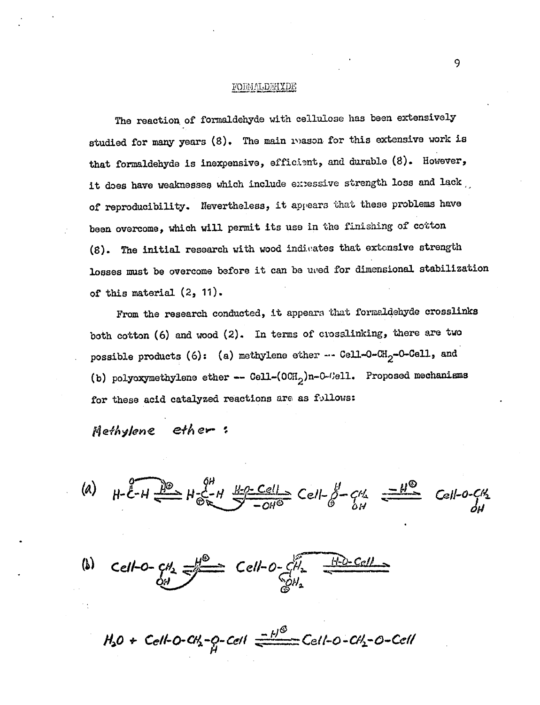## FORMAL DEHYDE

The reaction of formaldehyde with cellulose has been extensively studied for many years (8). The main reason for this extensive work is that formaldehyde is inexpensive, efficient, and durable (8). However, it does have weaknesses which include extessive strength loss and lack of reproducibility. Nevertheless, it appears that these problems have been overcome, which will permit its use in the finishing of cotton (8). The initial research with wood indivates that extensive strength losses must be overcome before it can be uved for dimensional stabilization of this material (2, 11).

From the research conducted, it appears that formaldehyde crosslinks both cotton (6) and wood (2). In terms of crosslinking, there are two possible products (6): (a) methylene ether  $-$ - Cell-O-CH<sub>2</sub>-O-Cell, and (b) polyoxymethylene ether -- Cell- $(OCH_2)$ n-0- $O$ - $O$ ell. Proposed mechanisms for these acid catalyzed reactions are as follows:

Metholene ether:

(a)  $H - \overline{\mathcal{E}} - H \xrightarrow{\mu \rho} H \xrightarrow{\mathcal{C}} H \xrightarrow{\mu \rho} \underline{\mathcal{C}} \underline{e} = - \sum_{i=1}^d C_i + \sum_{i=1}^d C_i$  $-$ *O* $U$ e  $C$   $6$ 

(b) Cell-0- $cH_2 = \frac{H^2}{2}$  Cell-0- $cH_2 = \frac{H^2D-CcH}{2}$  $\mathcal{L}^{\prime\prime}$ 

 $H_2O$  + Cell-O-CH<sub>2</sub>-Q-Cell  $\frac{-H^{0}}{2}$  Cell-O-CH<sub>2</sub>-O-Cell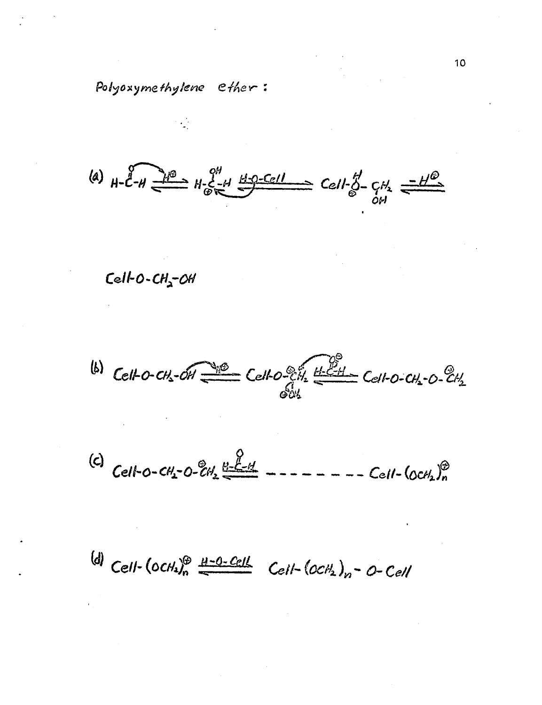Polyoxymethylene ether:

 $\overset{(a)}{\sim}$  H-C-H  $\overset{f^2\rightarrow\bullet}{\longrightarrow}$  H- $\xi$ -H  $\overset{B^2D^2\text{-}Cell}{\longrightarrow}$  Cell- $\overset{g}{\circ}$ -CH<sub>2</sub>

 $Cell-O-CH<sub>2</sub>-OH$ 

 $^{(6)}$  Celto-CH<sub>2</sub>-OH  $\frac{200}{2000}$  Celto-CH  $\mathcal{P}_{\mathcal{H}}$ CelitoPcivz Ce144-0.' Ce-/a.\*-  $604$  $\Theta_{\mu\nu}$ 

 $(C)$   $C_2$ <sup> $l_1$ </sup>  $Cell$ -0- $CH_2$ -0- $CH_2 \xrightarrow{t_{1}+t_{2}-t_{3}}$  - $\frac{Q}{H}$ 14.  $\omega$  of  $\mu$  $Cell$ - $[OCH_2J_n]$ 

(d) Cell-(OCH)<sup>®</sup> <u>H-O-Cell</u> Cell-(OCH<sub>2</sub>)<sub>n</sub>-O-Cell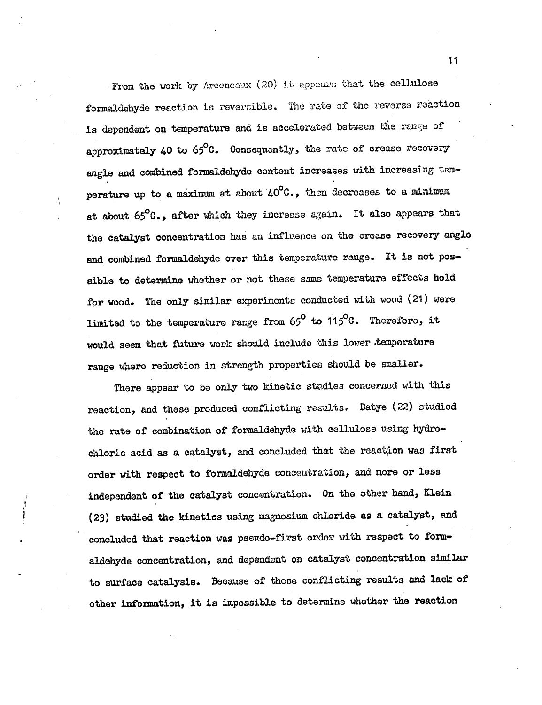From the work by Areeneaux (20) it appears that the cellulose formaldehyde reaction is reversible. The rate of the reverse reaction is dependent on temperature and is accelerated between the range of approximately 40 to 65°C. Consequently, the rate of crease recovery angle and combined formaldehyde content increases with increasing temperature up to a maximum at about  $40^{\circ}$ C., then decreases to a minimum at about 65°C., after which they increase again. It also appears that the catalyst concentration has an influence on the crease recovery angle and combined formaldehyde over this temperature range. It is not possible to determine whether or not these same temperature effects hold for wood. The only similar experiments conducted with wood (21) were limited to the temperature range from  $65^{\textsf{o}}$  to  $115^{\textsf{o}}$ C. Therefore, it would seem that future work should include this lower temperature range where reduction in strength properties should be smaller.

There appear to be only two kinetic studies concerned with this reaction, and these produced conflicting results. Datye (22) studied the rate of combination of formaldehyde with cellulose using hydrochloric acid as a catalyst, and concluded that the reaction was first order with respect to formaldehyde concentration, and more or less independent of the catalyst concentration. On the other hand, Klein (23) studied the kinetics using magnesium chloride as a catalyst, and concluded that reaction was pseudo-first order with respect to formaldehyde concentration, and dependent on catalyst concentration similar to surface catalysis. Because of these conflicting results and lack of other information, it is impossible to determine whether the reaction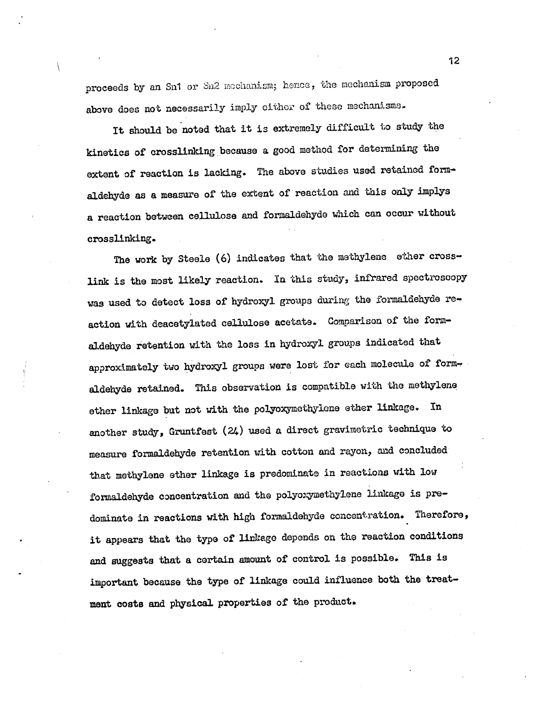proceeds by an Sn1 or Sn2 mechanism; hence, the mechanism proposed above does not necessarily imply either of these mechanisms.

It should be noted that it is extremely difficult to study the kinetics of crosslinking because a good method for determining the extent of reaction is lacking. The above studies used retained formaldehyde as a measure of the extent of reaction and this only impiys a reaction between cellulose and formaldehyde which can occur without crosslinking.

The work by Steele (6) indicates that the methylene ether crosslink is the most likely reaction. In this study, infrared spectroscopy was used to detect loss of hydroxyl groups during the formaldehyde reaction with deacetylated cellulose acetate. Comparison of the formaldehyde retention with the loss in hydroxyl groups indicated that approximately two hydroxyl groups were lost for each molecule of formaldehyde retained. This observation is compatible with the methylene ether linkage but not with the polyoxymethylene ether linkage. In another study, Gruntfest (24) used a direct gravimetric technique to measure formaldehyde retention with cotton and rayon, and concluded that methylene ether linkage is predominate in reactions with low formaldehyde concentration and the polyoxymethylene linkage is predominate in reactions with high formaldehyde concentration. Therefore, it appears that the type of linkage depends on the reaction conditions and suggests that a certain amount of control is possible. This is important because the type of linkage could influence both the treatment costs and physical properties of the product,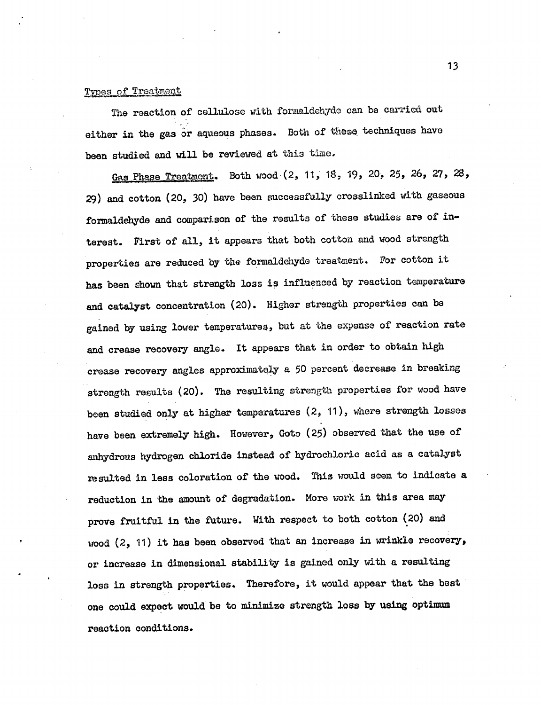## Types of Treatment

The reaction of cellulose with formaldehyde can be carried out either in the gas or aqueous phases. Both of these techniques have been studied and will be reviewed at this time.

Gas Phase Treatment. Both wood (2, 11, 18, 19, 20, 25, 26, 27, 28, 29) and cotton (20, 30) have been successfully crosslinked with gaseous formaldehyde and comparison of the results of these studies are of interest. First of all, it appears that both cotton and wood strength properties are reduced by the formaldehyde treatment. For cotton it has been shown that strength loss is influenced by reaction temperature and catalyst concentration (20). Higher strength properties can be gained by using lower temperatures, but at the expense of reaction rate and crease recovery angle. It appears that in order to obtain high crease recovery angles approximately a 50 percent decrease in breaking strength results (20). The resulting strength properties for wood have been studied only at higher temperatures (2, 11), where strength losses have been extremely high. However, Goto (25) observed that the use of anhydrous hydrogen chloride instead of hydrochloric acid as a catalyst resulted in less coloration of the wood. This would seem to indicate a reduction in the amount of degradation. More work in this area may prove fruitful in the future. With respect to both cotton (20) and wood (2, 11) it has been observed that an increase in wrinkle recovery, or increase in dimensional stability is gained only with a resulting loss in strength properties. Therefore, it would appear that the best one could expect would be to minimize strength loss by using optimum reaction conditions.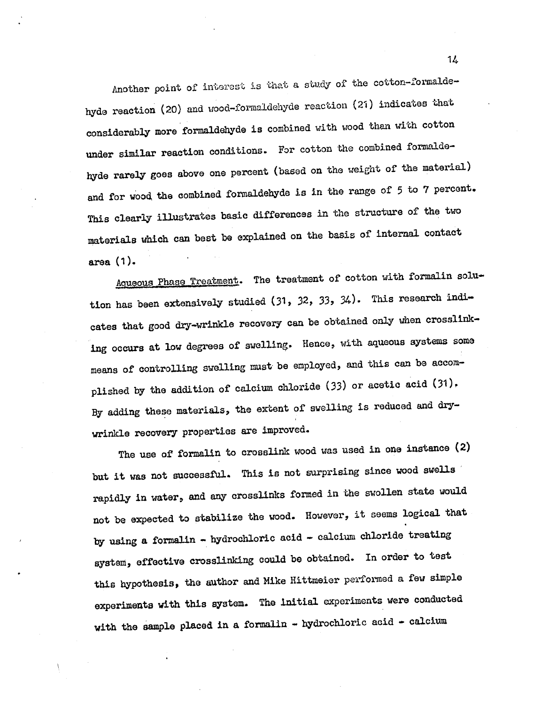Another point of interest is that a study of the cotton-formaldehyde reaction (20) and wood-formaldehyde reaction (21) indicates that considerably more formaldehyde is combined with wood than with cotton under similar reaction conditions. For cotton the combined formaldehyde rarely goes above one percent (based on the weight of the material) and for wood the combined formaldehyde is in the range of 5 to 7 percent. This clearly illustrates basic differences in the structure of the two materials which can best be explained on the basis of internal contact area (1).

Aqueous Phase Treatment. The treatment of cotton with formalin solution has been extensively studied (31, 32, 33, 34). This research indicates that good dry-wrinkle recovery can be obtained only when crosslinking occurs at low degrees of swelling. Hence, with aqueous systems some means of controlling swelling must be employed, and this can be accomplished by the addition of calcium chloride (33) or acetic acid (31), By adding these materials, the extent of swelling is reduced and drywrinkle recovery properties are improved.

The use of formalin to crosslink wood was used in one instance (2) but it was not successful. This is not surprising since wood swells rapidly in water, and any crosslinks formed in the swollen state would not be expected to stabilize the wood. However, it seems logical that by using a formalin - hydrochloric acid - calcium chloride treating system, effective crosslinking could be obtained. In order to test this hypothesis, the author and Mike Hittmeier performed a few simple experiments with this system. The initial experiments were conducted with the sample placed in a formalin - hydrochloric acid - calcium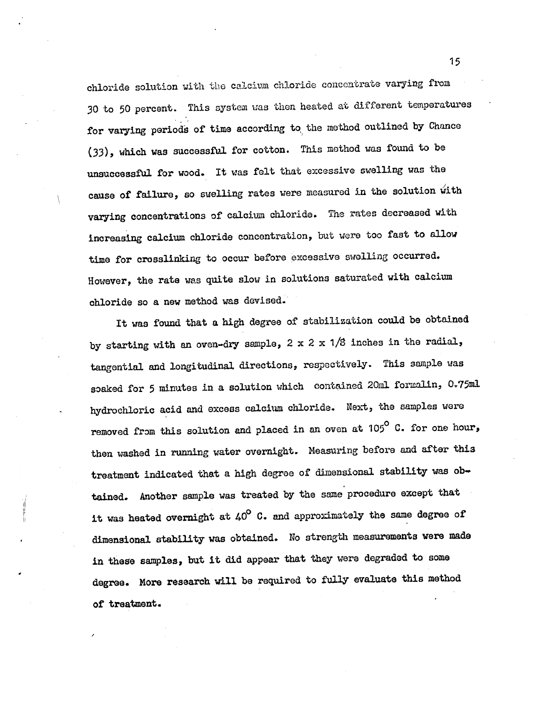chloride solution with the calcium chloride concentrate varying from 30 to 50 percent. This system was then heated at different temperatures for varying periods of time according to the method outlined by Chance (33), which was successful for cotton. This method was found to be unsuccessful for wood. It was felt that excessive swelling was the cause of failure, so swelling rates were measured in the solution with varying concentrations of calcium chloride. The rates decreased with increasing calcium chloride concentration, but were too fast to allow time for crosslinking to occur before excessive swelling occurred. However, the rate was quite slow in solutions saturated with calcium chloride so a new method was devised.

It was found that a high degree of stabilization could be obtained by starting with an oven-dry sample,  $2 \times 2 \times 1/8$  inches in the radial, tangential and longitudinal, directions, respectively. This sample was soaked for 5 minutes in a solution which contained 20m1 formalin, 0.75m1 hydrochloric acid and excess calcium chloride. Next, the samples ware removed from this solution and placed in an oven at 105° C. for one hour, then washed in running water overnight. Measuring before and after this treatment indicated that a high degree of dimensional stability was obtained. Another sample was treated by the same procedure except that it was heated overnight at  $40^{\circ}$  C. and approximately the same degree of dimensional stability was obtained. No strength measurements were made in these samples, but it did appear that they were degraded to some degree. More research will be required to fully evaluate this method of treatment.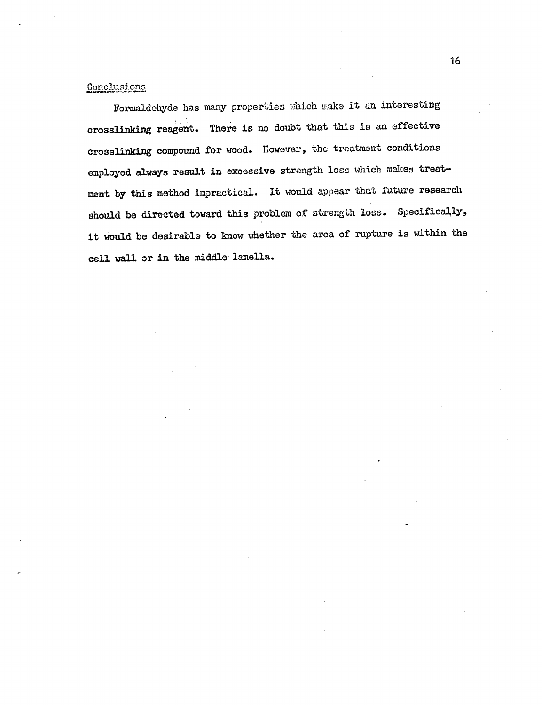## Conclusions

Formaldehyde has many properties which make it en interesting crosslinking reagent. There is no doubt that this is an effective crosslinking compound for wood. However, the treatment conditions employed always result in excessive strength loss which makes treat ment by this method impractical. It would appear that future research should be directed toward this problem of strength loss. Specifically, it mould be desirable to know whether the area of rupture is within the cell wall or in the middle lamella.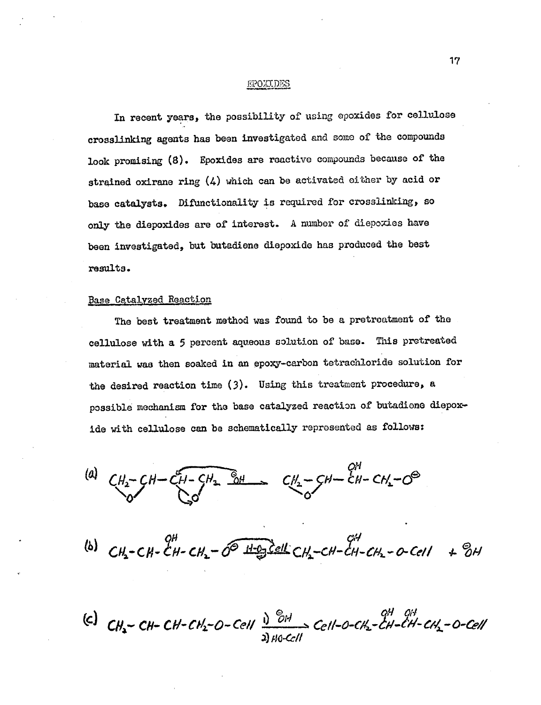#### Fs.)0IT.DaS

In recent years, the possibility of using epoxides for cellulose crosslinking agents has been investigated and some of the compounds look promising (8). Epoxides are reactive compounds because of the strained oxirane ring (4) which can be activated either by acid or base catalysts. Difunctionality is required for crosslinking, so only the diepoxides are of interest. A number of diepoxies have been investigated, but butadiene diepoxide has produced the best results.

## Base Catalyzed Reaction

The best treatment method was found to be a pretreatment of the cellulose with a 5 percent aqueous solution of base. This pretreated material was then soaked in an epoxy-carbon tetrachloride solution for the desired reaction time (3). Using this treatment procedure, a possible mechanism for the base catalyzed reaction of butadiene diepoxide with cellulose can be schematically represented as follows;

(a)  $CH_2-CH-CH_2-H_2$   $\frac{8H}{8H}$   $CH_2-H-CH_2-CH_2-CH_2-CH_2-CH_2$ 

(b)  $CH_2-CH-CH_2-O^{\circ}$   $H_2O_3$  CH-CH-CH-CH-CH-CH-0-Cell  $+ 8H$ 

 $CH$ -CH<sub>2</sub>-O-Cell  $\frac{1}{2}$  <sup>OH</sup>  $\rightarrow$  Cel ile-Cd/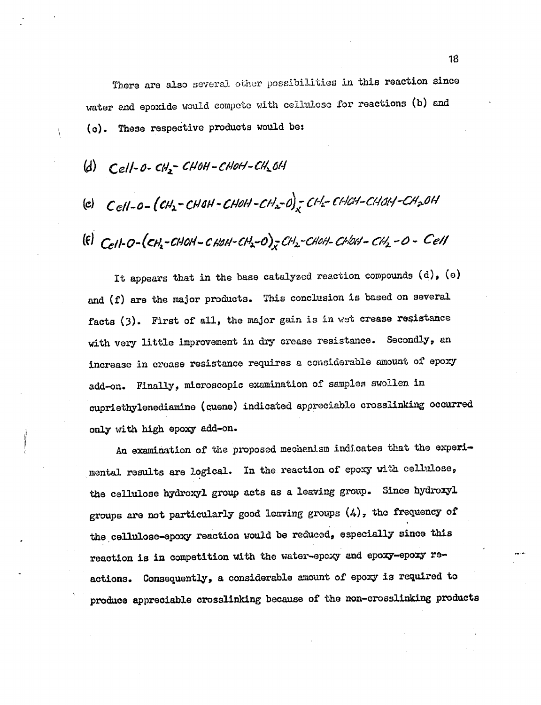There are also several other possibilities in this reaction since water and epoxide would compete with cellulose for reactions (b) and (c). These respective products would be:

- $(d)$  Cell-O-CH<sub>2</sub>-CHOH-CHOH-CH<sub>2</sub>OH
- (e)  $Cell$ -0- $[CH_2$ -CHOH-CHOH-CH<sub>2</sub>-0) CH<sub>2</sub>-CHCH-CHOH-CH<sub>2</sub>OH

 $\begin{equation} \begin{aligned} \text{(E)} \quad & \text{Cell-} O - \big( & \text{CH}_2 \text{-} \text{CHOH} - \text{CHOH} \text{-} \text{CH}_2 \text{-} O \big)_x \text{CH}_2 \text{-} \text{CHOH} \text{-} \text{CHOH} \text{-} \text{CH}_2 \text{-} O \text{-} \end{aligned} \end{equation}$ 

It appears that in the base catalyzed reaction compounds (d), (e) and (f) are the major products. This conclusion is based on several facts (3). First of all, the major gain is in vet crease resistance with very little improvement in dry crease resistance. Secondly, an increase in crease resistance requires a considerable amount of epoxy add-on. Finally, microscopic examination of samples swollen in cupriethylenediamine (cuene) indicated appreciable crosslinkine occurred only with high epoxy add-on.

An examination of the proposed mechanism indicates that the experimental results are logical. In the reaction of epoxy with cellulose, the cellulose hydroxyl group acts as a leaving group. Since hydroxyl groups are not particularly good leaving groups (4), the frequency of the cellulose-epoxy reaction would be reduced, especially since this reaction is in competition with the water-epoxy and epoxy-epoxy reactions. Consequently, a considerable amount of epoxy is required to produce appreciable crosslinking because of the non-crosslinking products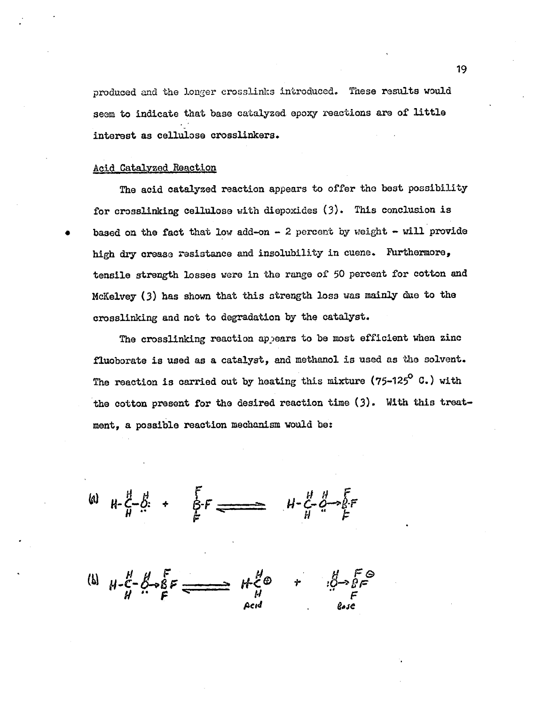produced and the longer crosslinks introduced. These results would seem to indicate that base catalyzed epoxy reactions are of little interest as cellulose crosslinkers.

## Acid Catalyzed Reaction

The acid catalyzed reaction appears to offer the best possibility for crosslinking cellulose with diepoxides (3). This conclusion is based on the fact that low add-on  $-$  2 percent by weight  $-$  will provide high dry crease resistance and insolubility in cuene. Furthermore, tensile strength losses were in the range of 50 percent for cotton and McKelvey (3) has shown that this strength loss was mainly due to the crosslinking and not to degradation by the catalyst.

The crosslinking reaction appears to be most efficient when zinc fluoborate is used as a catalyst, and methanol is used as the solvent. The reaction is carried out by heating this mixture  $(75-125^{\circ}$  C.) with the cotton present for the desired reaction time (3). With this treatment, a possible reaction mechanism would be:

 $\omega$   $\mu$   $\zeta$   $\zeta$  +  $\zeta$   $\zeta$   $\zeta$   $\zeta$   $\zeta$   $\zeta$   $\zeta$   $\zeta$  $H$   $\rightarrow$   $H$   $F$ 

 $\omega_{H} = \frac{1}{2} - \frac{1}{2} - \frac{1}{2} = \frac{1}{2} - \frac{1}{2} - \frac{1}{2} = \frac{1}{2} - \frac{1}{2} = \frac{1}{2} - \frac{1}{2} = \frac{1}{2} - \frac{1}{2} = \frac{1}{2} - \frac{1}{2} = \frac{1}{2} - \frac{1}{2} = \frac{1}{2} - \frac{1}{2} = \frac{1}{2} - \frac{1}{2} = \frac{1}{2} - \frac{1}{2} = \frac{1}{2} - \frac{1}{2} = \frac{1}{2} - \frac{1}{2} = \frac{1}{2$ Red  $\theta \rightarrow \bar{\theta}$  $\epsilon$ ease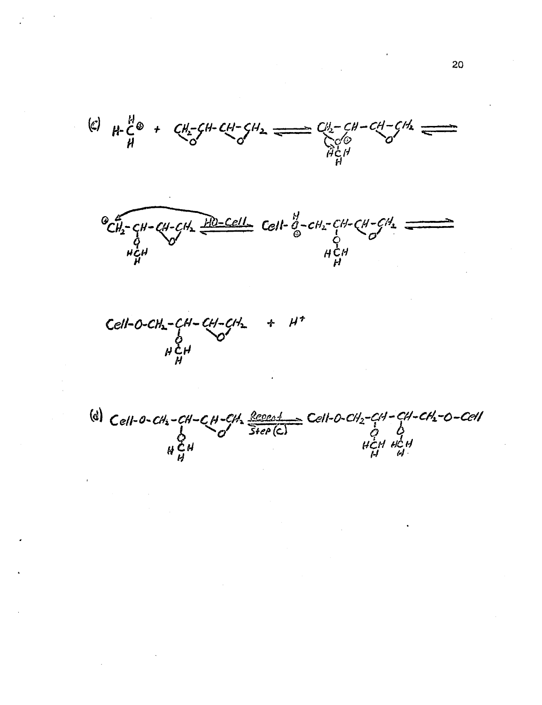$\left( 10^{11} \mu \right)$   $\left( 0^{12} + C \mu \right)$   $\left( 0^{12} + C \mu \right)$   $\left( 0^{13} + C \mu \right)$   $\left( 0^{13} + C \mu \right)$   $\left( 0^{13} + C \mu \right)$   $\left( 0^{13} + C \mu \right)$   $\left( 0^{13} + C \mu \right)$   $\left( 0^{13} + C \mu \right)$   $\left( 0^{13} + C \mu \right)$   $\left( 0^{13} + C \mu \right)$   $\left( 0^{13} + C \$  $H \sim H$  $\mathbf{r}_{1}$ 

 $\sigma_{CH_2-CH-CH-CH_2}^{\omega}$ hçh  $\frac{11}{2}$  Cell-  $\frac{11}{9}$ -CH<sub>2</sub>-CH-CH-CH<sub>2</sub>  $\sigma$ <sup>-</sup>  $H \cup H$ mmangozo. 1011<br>Ngjarje na mangazo. 1011. na mangazo. 1011. na mangazo. 1011. na mangazo. 1011. na mangazo. 1011. na mangazo.<br>Ngjarje na mangazo. 1012. na mangazo. 1012. na mangazo. 1011. na mangazo. 1011. na mangazo. 1011.



 $Cell$ -0- $CH_2$ -CH-CH-CH,  $\frac{Repeak}{Step(C)}$  Cell-0-CH<sub>2</sub>-CH-CH<sub>2</sub>-O-CH2-O-Cell<br>O Step (C)<br>HCH HCH  $HCH$   $HCH$  $H$   $H$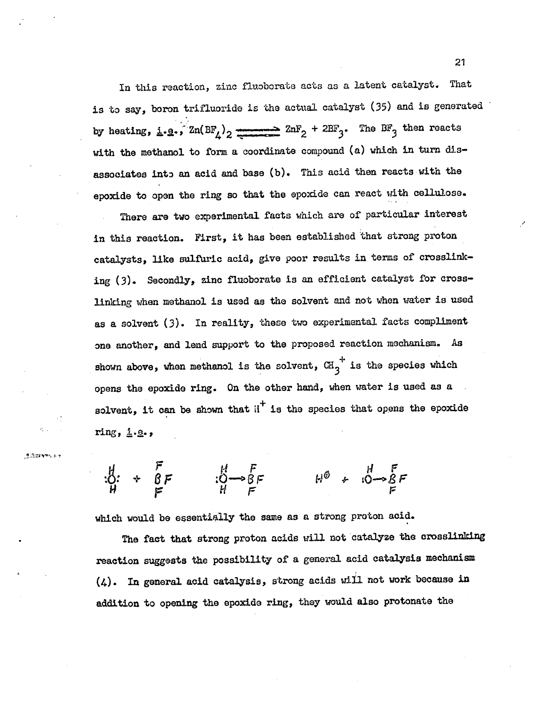In this reaction, zinc fluoborate acts as a latent catalyst. That is to say, boron trifluorido is the actual catalyst (35) and is generated by heating, i.e.,  $Zn(BF_4)_2$   $\longrightarrow$   $2nF_2 + 2BF_3$ . The  $BF_3$  then reacts with the methanol to form a coordinate compound (a) which in turn disassociates into an acid and base (b). This acid then reacts with the epoxide to open the ring so that the epoxide can react with cellulose.

There are two experimental facts which are of particular interest in this reaction. First, it has been established that strong proton catalysts, like sulfuric acid, give poor results in terms of crosslinking (3). Secondly, zinc fluoborate is an efficient catalyst for crosslinking when methanol is used as the solvent and not when water is used as a solvent (3). In reality, these two experimental facts compliment one another, and lend support to the proposed reaction mechanism. As  $+$   $\bullet$   $\bullet$   $+$   $\bullet$   $\bullet$   $\bullet$ shown above, when methanol is the solvent,  $\mathbb{G} \mathbf{1}_3$  is the species which opens the epoxide ring. On the other hand, when water is used as a solvent, it can be shown that  $i^{\dagger}$  is the species that opens the epoxide ring, i.e.,

<sup>14</sup> E tg: + Q F :0-06 F tO 4- F 1-1 f=

 $\mathcal{G}$  ,  $\mathcal{H}$  is the set of  $\mathcal{H}$ 

which would be essentially the same as a strong proton acid.

The fact that strong proton acids will not catalyze the crosslinking reaction suggests the possibility of a general acid catalysis mechanism (4). In general acid catalysis, strong acids will not work because in addition to opening the epoxide ring, they would also protonate the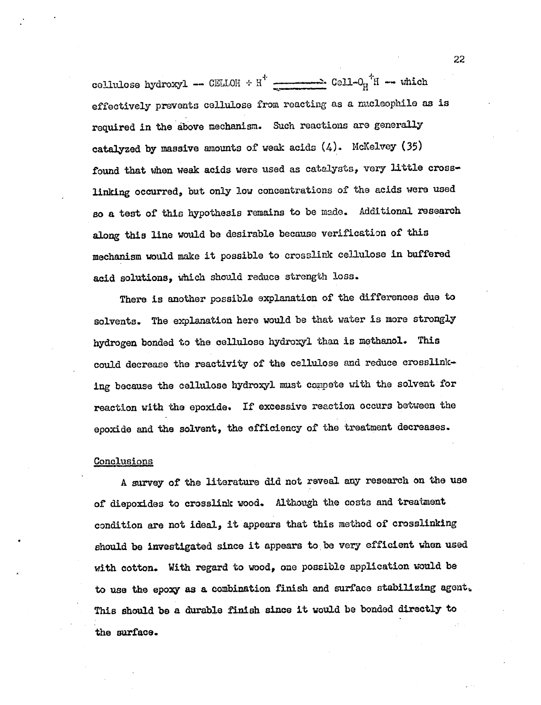cellulose hydroxyl -- CELLOH +  $H^+$  ------------ Cell-0<sub>u</sub><sup>1</sup>H -- which effectively prevents cellulose from reacting as a nucleophile as is required in the above mechanism. Such reactions are generally catalyzed by massive amounts of weak acids  $(4)$ . McKelvey (35) found that when weak acids were used as catalysts, very little crosslinking occurred, but only low concentrations of the acids were used so a test of this hypothesis remains to be made. Additional research along this line would be desirable because verification of this mechanism would make it possible to crosslink cellulose in buffered acid solutions, which should reduce strength loss.

There is another possible explanation of the differences due to solvents. The explanation here would be that water is more strongly hydrogen bonded to the cellulose hydroxyl than is methanol. This could decrease the reactivity of the cellulose and reduce crosslinking because the cellulose hydroxyl must compete with the solvent for reaction with the epoxide. If excessive reaction occurs between the epoxide and the solvent, the efficiency of the treatment decreases.

## **Conclusions**

A survey of the literature did not reveal any research on the use of diepoxides to crosslink wood. Although the costs and treatment condition are not ideal, it appears that this method of crosslinking should be investigated since it appears to be very efficient when used with cotton. With regard to wood, one possible application would be to use the epoxy as a combination finish and surface stabilizing agent,. This should be a durable finish since it would be bonded directly to the surface.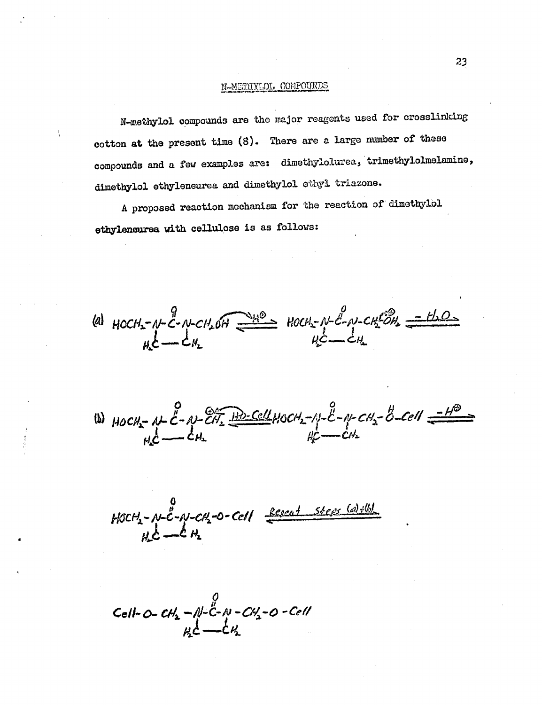## N-METHYLOI. COMPOUNDS

N-methylol compounds are the major reagents used for crosslinking cotton at the present time (8). There are a large number of these compounds and a few examples are: dimethylolurea, trimethylolmelamine, dimethylol ethyleneurea and dimethylol ethyl triazone.

A proposed reaction mechanism for the reaction of dimethylol ethyleneurea with cellulose is as follows:

9  $46.46$  110 $12.7$   $10.4$   $10.7$   $10.7$   $10.7$   $10.7$   $10.7$   $10.7$   $10.7$   $10.7$   $10.7$   $10.7$   $10.7$   $10.7$   $10.7$   $10.7$   $10.7$   $10.7$   $10.7$   $10.7$   $10.7$   $10.7$   $10.7$   $10.7$   $10.7$   $10.7$   $10.7$   $10.7$   $10.7$   $10.7$   $H_1C \longrightarrow CH_1$   $H_2C \longrightarrow C$ 

 $\frac{1}{2}$ (b)  $HOCH_2$ - AL  $C - A$ - $CH_2$   $H$   $H$ - $CH_2$ - $C$ - $H_1$ - $C$ - $C$ - $C$ - $C$  $C$  $T$   $T$  $\mu$ c  $\mu$  $- \frac{2}{c}$  -  $\mu$ -cH<sub>2</sub> - B-cell  $\frac{-H^2}{\sqrt{2}}$ 

 $M-C-N-CN_2$ -O-Cell  $\frac{Kepc_{A}T-Sr\ell_{B}S-\frac{1}{2C}}{T-1}$  $(a)$  +(b) Pa.

Cell-O-CH<sub>2</sub> -  $N-\overset{0}{C}-N$ -CH<sub>2</sub>-O-Cell<br>uc<sup>1</sup>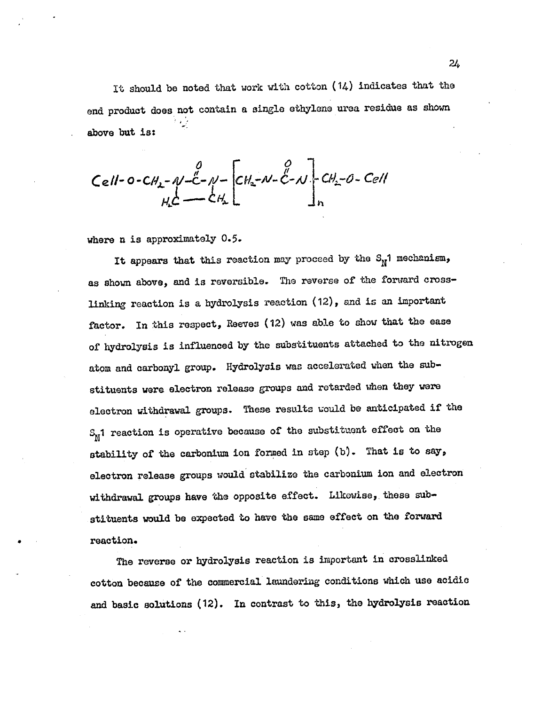It should be noted that work with cotton (14) indicates that the end product does not contain a single ethylene urea residue as shown . above but is:

Cell-0-CA<sub>2</sub>-
$$
\gamma
$$
-C- $\gamma$ -CA<sub>2</sub>- $\gamma$ -C- $\gamma$ -CA<sub>2</sub>- $\gamma$ -C- $\gamma$ -C- $\gamma$ -C- $\gamma$ -C- $\gamma$ -C- $\gamma$ -C- $\gamma$ -C- $\gamma$ -C- $\gamma$ -C- $\gamma$ -C- $\gamma$ -C- $\gamma$ -C- $\gamma$ -C- $\gamma$ -C- $\gamma$ -C- $\gamma$ -C- $\gamma$ -C- $\gamma$ -C- $\gamma$ -C- $\gamma$ -C- $\gamma$ -C- $\gamma$ -C- $\gamma$ -C- $\gamma$ -C- $\gamma$ -C- $\gamma$ -C- $\gamma$ -C- $\gamma$ -C- $\gamma$ -C- $\gamma$ -C- $\gamma$ -C- $\gamma$ -C- $\gamma$ -C- $\gamma$ -C- $\gamma$ -C- $\gamma$ -C- $\gamma$ -C- $\gamma$ -C- $\gamma$ -C- $\gamma$ -C- $\gamma$ -C- $\gamma$ -C- $\gamma$ -C- $\gamma$ -C- $\gamma$ -C- $\gamma$ -C- $\gamma$ -C- $\gamma$ -C- $\gamma$ -C- $\gamma$ -C- $\gamma$ -C- $\gamma$ -C- $\gamma$ -C- $\gamma$ -C- $\gamma$ -C- $\gamma$ -C- $\gamma$ -C- $\gamma$ -C- $\gamma$ -C- $\gamma$ -C- $\gamma$ -C- $\gamma$ -C- $\gamma$ -C- $\gamma$ -C- $\gamma$ -C- $\gamma$ -C- $\gamma$ -C- $\gamma$ -C- $\gamma$ -C- $\gamma$ -C- $\gamma$ -C- $\gamma$ -C- $\gamma$ -C- $\gamma$ -C- $\gamma$ -C- $\gamma$ -C- $\gamma$ -C- $\gamma$ -C- $\$ 

where n is approximately 0.5.

It appears that this reaction may proceed by the  $S_N$ 1 mechanism, as shown above, and is reversible. The reverse of the forward crosslinking reaction is a hydrolysis reaction (12), and is an important factor. In this respect, Reeves (12) was able to show that the ease of hydrolysis is influenced by the substituents attached to the nitrogen atom and carbonyl group. Hydrolysis was accelerated when the substituents were electron release groups and retarded when they were electron withdrawal groups. These results would be anticipated if the  $S_N$ 1 reaction is operative because of the substituent effect on the stability of the carbonium ion formed in step (b). That is to say, electron release groups would stabilize the carbonium ion and electron withdrawal groups have the opposite effect. Likewise, these substituents would be expected to have the same effect on the forward reaction.

The reverse or hydrolysis reaction is important in crosslinked cotton because of the commercial laundering conditions which use acidic and basic solutions (12). In contrast to this, the hydrolysis reaction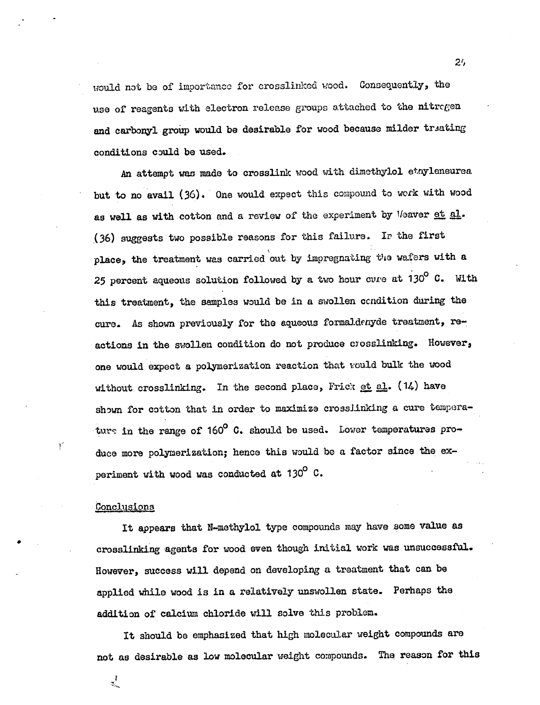would not be of importance for crosslinked wood. Consequently, the use of reagents with electron release groups attached to the nitrogen and carbonyl group would be desirable for wood because milder treating conditions could be used.

An attempt was made to crosslink wood with dimethylol etnyleneurea but to no avail (36). One would expect this compound to work with wood as well as with cotton and a review of the experiment by Veaver et al. (36) suggests two possible reasons for this failure. Ir the first place, the treatment was carried out by impregnating the wafers with a 25 percent aqueous solution followed by a two hour cure at  $130^{\circ}$  C. With this treatment, the samples would be in a swollen ccndition during the cure. As shown previously for the aqueous formaldehyde treatment, reactions in the swollen condition do not produce crosslinking. However, one would expect a polymerization reaction that would bulk the wood without crosslinking. In the second place, Frict et al.  $(14)$  have shown for cotton that in order to maximize crosslinking a cure temperature in the range of  $160^{\circ}$  C. should be used. Lower temperatures produce more polymerization; hence this would be a factor since the experiment with wood was conducted at  $130^{\circ}$  C.

## Conclusions

ुर्

 $\mathfrak{f}^r$ 

It appears that N-methylol type compounds may have some value as crosslinking agents for wood even though initial work was unsuccessful. However, success will depend on developing a treatment that can be applied while wood is in a relatively unswollen state. Perhaps the addition of calcium chloride will solve this problem.

It should be emphasized that high molecular weight compounds are not as desirable as low molecular weight compounds. The reason for this

2',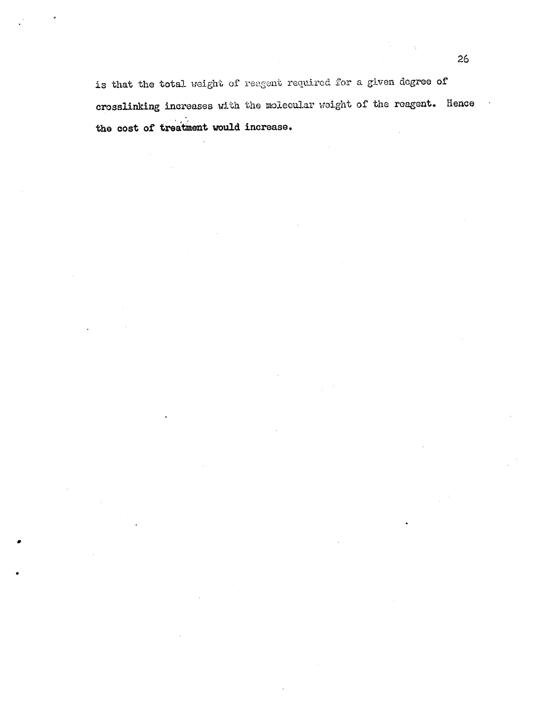is that the total weight of reagent required for a given degree of crosslinking increases with the molecular weight of the reagent. Hence the cost of treatment would increase.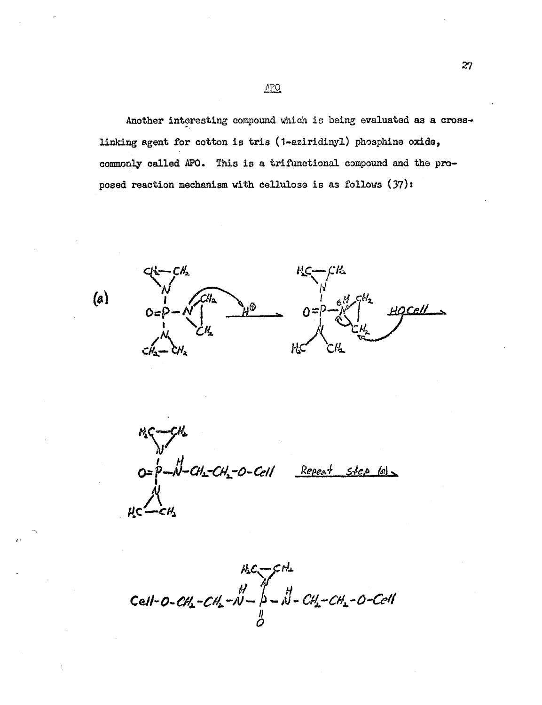Another interesting compound which is being evaluated as a crosslinking agent for cotton is kris (1.aziridinyl) phosphine oxide, commonly called APO. This is a trifUnctional compound and the proposed reaction mechanism with cellulose is as follows (37):

 $\frac{1}{\sqrt{N}}$ N.  $1 \alpha$ <sup>H</sup><sub>z</sub> $\zeta$ <sup>H</sup><sub>z</sub> A.G

 $(a)$ 

 $b - b - Ch$ -CH<sub>2</sub>-O-Cell Repeat step (a)

 $H_3C - CH_2$ <br>Cell-0-CH<sub>2</sub>-CH<sub>2</sub>-N- $\beta - N - C$ H<sub>2</sub>-CH<sub>2</sub>-O-Cell<br> $\frac{N}{Q}$ 

APO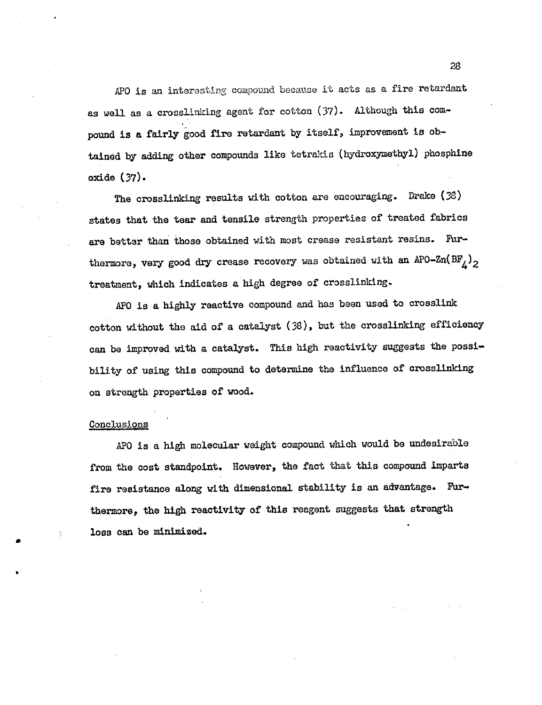APO is an interesting compound because it acts as a fire retardant as well as a crosslinking agent for cotton (37). Although this compound is a fairly good fire retardant by itself, improvement is obtained by adding other compounds like tetrakis (hydroxymethyl) phosphine oxide (37).

The crosslinking results with cotton are encouraging. Drake (38) states that the tear and tensile strength properties of treated fabrics are better than those obtained with most crease resistant resins. Furthermore, very good dry crease recovery was obtained with an APO-Zn(BF<sub> $_L$ )</sub><sub>2</sub> treatment, which indicates a high degree of crosslinking.

APO is a highly reactive compound and has been used to crosslink cotton without the aid of a catalyst (38), but the crosslinking efficiency can be improved with a catalyst. This high reactivity suggests the possibility of using this compound to determine the influence of crosslinking on strength properties of wood.

## Conclusions

APO is a high molecular weight compound which would be undesirable from the cost standpoint. However, the fact that this compound imparts fire resistance along with dimensional stability is an advantage. Furthermore, the high reactivity of this reagent suggests that strength loss can be minimized.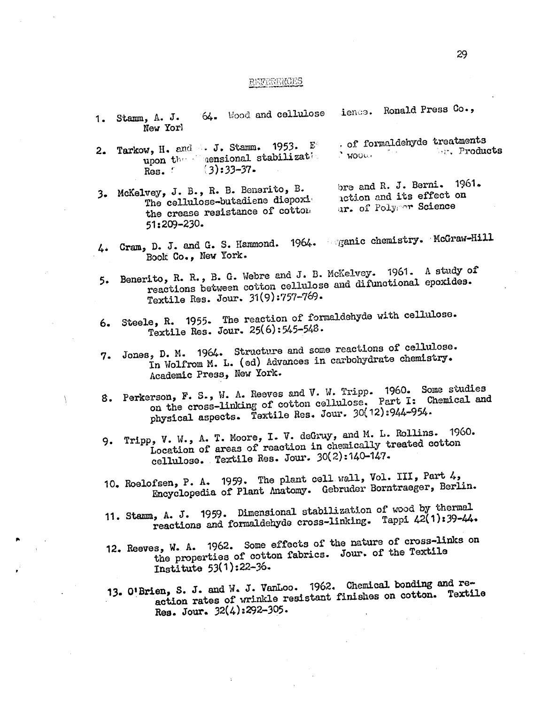#### REFERENCES

- 1. Stamm, A. J. 64. Wood and cellulose ience. Ronald Press Co., New Yorl
- 2. Tarkow, H. and J. Stamm. 1953. E . of formaldehyde treatments upon the consideral stabilizations.<br>Res.  $(3):33-37$ .  $(3):33-37.$
- 3. McKelvey, J. B., R. B. Benerito, B. The cellulose-butadiene diepoxi the crease resistance of cotton 51:209-230. bre and R. J. Berni. 1961. action and its effect on ar. of Polymor Science

 $\setminus$ 

- Gram, D. J. and G. S. Hammond. 1964. ganic chemistry. McGraw-Hill 4. Book Co., New York.
- 5. Benerito, R. R., B. G. Webre and J. B. McKelvey. 1961. A study of reactions between cotton cellulose and difunotional epoxides. Textile Res. Jour. 31(9):757-769.
- 6. Steele, R. 1955. The reaction of formaldehyde with cellulose. Textile Res. Jour. 25(6):545-548.
- 7. Jones, D. M. 1964. Structure and some reactions of cellulose. In Wolfrom M. L. (ed) Advances in carbohydrate chemistry. Academic Press., New York.
- Perkerson, F. S., W. A. Reeves and V. W. Tripp. 1960. Some studies rson, r. D., we have cotton cellulose. Part I: Chemical and on the cross-linking of cotton cellulose. Part I: Chemical and physical aspects. Textile Res. Jour. 30(12):944-954.
- 9. Tripp, V. W., A. T. Moore, I. V. deGruy, and M. L. Rollins. 1960. Location of areas of reaction in chemically treated cotton cellulose. Textile Res. Jour.  $30(2):140-147$ .
- 10. Roelofsen, P. A. 1959. The plant cell wall, Vol. III, Part 4, Encyclopedia of Plant Anatomy. Gebruder Borntraeger, Berlin.
- 11. Stamm, A. J. 1959. Dimensional stabilization of wood by thermal reactions and formaldehyde cross-linking. Tappi 42(1):39-44.
- 12. Reeves, W. A. 1962. Some effects of the nature of cross-links on the properties of cotton fabrics. Jour. of the Textile Institute 53(1):22-36.
- 13. O'Brien, S. J. and W. J. VanLoo. 1962. Chemical bondtng and reaction rates of wrinkle resistant finishes on cotton. Textile Res. Jour. 32(4):292-305.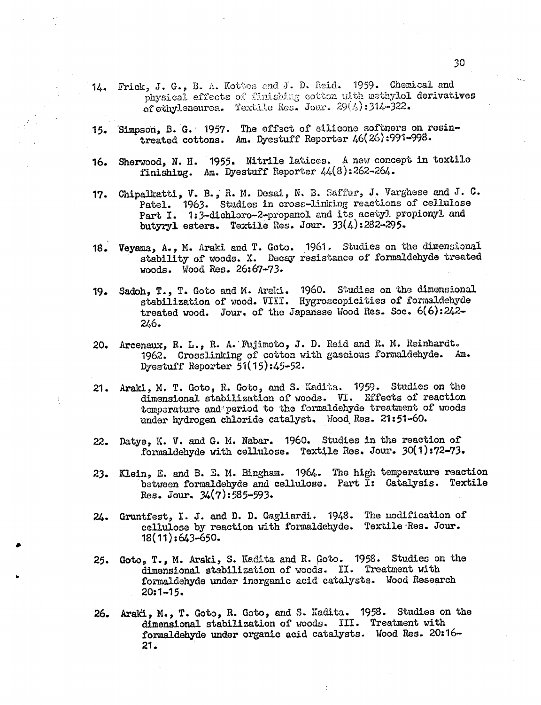- 14. Frick, J. G., B. A. Kottes and J. D. Reid. 1959. Chemical and physical effects of finishing cotton with methylol derivatives of ethyleneurea. Textile Res. Jour.  $29(4):314-322$ .
- 15. Simpson, B. G. 1957. The effect of silicone softnors on resintreated cottons. Am. Dyestuff Reporter 46(26):991-998.
- 16. Sherwood, N. H. 1955. Nitrile latices. A now concept in textile finishing. Am. Dyestuff Reporter  $44(8):262-264$ .
- 17. Chipalkatti, V. B., R. M. Desai, N. B. Saffur, J. Varghese and J. C. Patel. 1963. Studies in cross-linking reactions of cellulose Part I. 1:3-dichloro-2-propanol and its acetyl propionyl and butyryl esters. Textile Res. Jour. 33(4):282-295.
- 18. Veyama, A., M. Araki and T. Goto. 1961. Studies on the dimensional stability of woods. X. Decay resistance of formaldehyde treated woods. Wood Res. 26:67-73.
- 19. Sadoh, T., T. Goto and M. Araki. 1960. Studies on the dimensional stabilization of wood. VIII. Hygroscopicities of formaldehyde treated wood. Jour. of the Japanese Wood Res. Soc. 6(6):242-246.
- 20. Arcenaux, R. L., R. A.'Thjimoto, J. D. Reid and R. M. Reinhardt. 1962. Crosslinking of cotton with gascious formaldehyde. Am. Dyestuff Reporter 51(15):45-52.
- 21. Araki, M. T. Goto, Ii. Goto, and S. Kadita. 1959. Studies on the dimensional stabilization of woods. VI. Effects of reaction temperature and'reriod to the formaldehyde treatment of woods under hydrogen chloride catalyst. Wood. Res. 21:51-60.
- 22. Datye, K. V. and G. M. Nabar. 1960. Studies in the reaction of formaldehyde with cellulose. Textile Res. Jour. 30(1):72-73.
- 23. Klein, E. and B. E. M. Bingham. 1964. The high temperature reaction between formaldehyde and cellulose. Part I: Catalysis. Textile Res. Jour. 34(7):585-593.
- 24. Gruntfest, I. J. and D. D. Gagliardi. 1948. The modification of cellulose by reaction with formaldehyde. Textile'Res. Jour.  $18(11):643 - 650.$
- 25. Goto, T., M. Araki, S. Kadita and R. poto. 1958. Studies on the dimensional stabilization of woods. II. Treatment with formaldehyde under inorganic acid catalysts. Wood Research  $20:1 - 15.$
- 26. Araki, M., T. Goto, R. Goto, and S. Kadita. 1958. Studies on the dimensional stabilization of woods. III. Treatment with formaldehyde under organic acid catalysts. Wood Res. 20:16- 21.